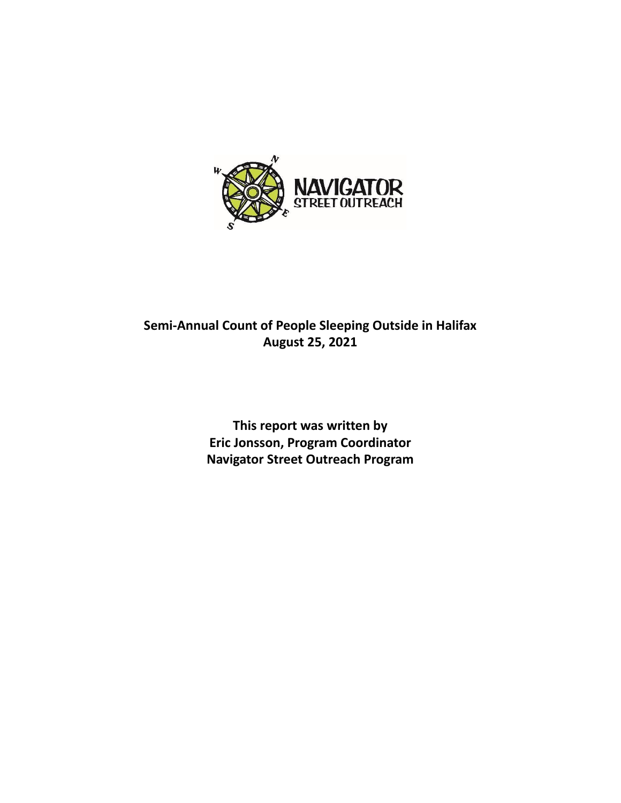

# **Semi-Annual Count of People Sleeping Outside in Halifax August 25, 2021**

**This report was written by Eric Jonsson, Program Coordinator Navigator Street Outreach Program**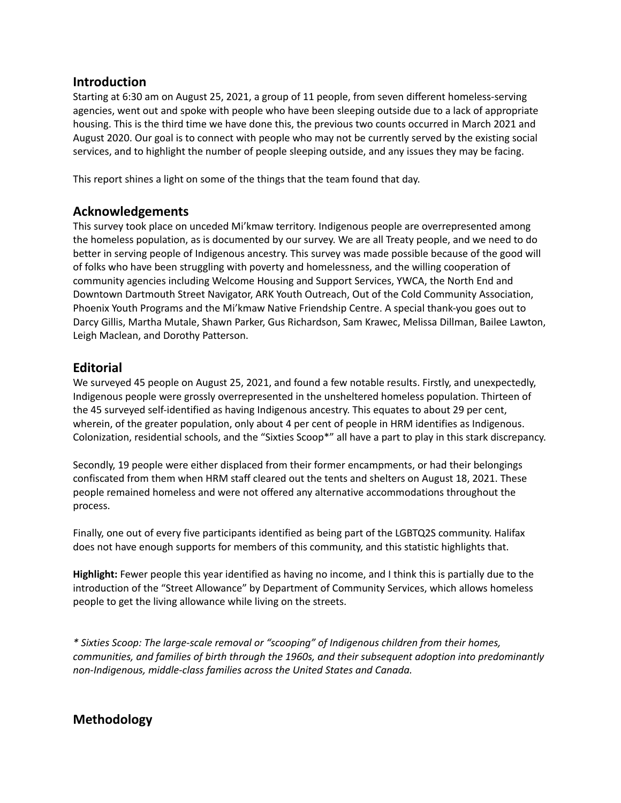#### **Introduction**

Starting at 6:30 am on August 25, 2021, a group of 11 people, from seven different homeless-serving agencies, went out and spoke with people who have been sleeping outside due to a lack of appropriate housing. This is the third time we have done this, the previous two counts occurred in March 2021 and August 2020. Our goal is to connect with people who may not be currently served by the existing social services, and to highlight the number of people sleeping outside, and any issues they may be facing.

This report shines a light on some of the things that the team found that day.

### **Acknowledgements**

This survey took place on unceded Mi'kmaw territory. Indigenous people are overrepresented among the homeless population, as is documented by our survey. We are all Treaty people, and we need to do better in serving people of Indigenous ancestry. This survey was made possible because of the good will of folks who have been struggling with poverty and homelessness, and the willing cooperation of community agencies including Welcome Housing and Support Services, YWCA, the North End and Downtown Dartmouth Street Navigator, ARK Youth Outreach, Out of the Cold Community Association, Phoenix Youth Programs and the Mi'kmaw Native Friendship Centre. A special thank-you goes out to Darcy Gillis, Martha Mutale, Shawn Parker, Gus Richardson, Sam Krawec, Melissa Dillman, Bailee Lawton, Leigh Maclean, and Dorothy Patterson.

### **Editorial**

We surveyed 45 people on August 25, 2021, and found a few notable results. Firstly, and unexpectedly, Indigenous people were grossly overrepresented in the unsheltered homeless population. Thirteen of the 45 surveyed self-identified as having Indigenous ancestry. This equates to about 29 per cent, wherein, of the greater population, only about 4 per cent of people in HRM identifies as Indigenous. Colonization, residential schools, and the "Sixties Scoop\*" all have a part to play in this stark discrepancy.

Secondly, 19 people were either displaced from their former encampments, or had their belongings confiscated from them when HRM staff cleared out the tents and shelters on August 18, 2021. These people remained homeless and were not offered any alternative accommodations throughout the process.

Finally, one out of every five participants identified as being part of the LGBTQ2S community. Halifax does not have enough supports for members of this community, and this statistic highlights that.

**Highlight:** Fewer people this year identified as having no income, and I think this is partially due to the introduction of the "Street Allowance" by Department of Community Services, which allows homeless people to get the living allowance while living on the streets.

*\* Sixties Scoop: The large-scale removal or "scooping" of Indigenous children from their homes, communities, and families of birth through the 1960s, and their subsequent adoption into predominantly non-Indigenous, middle-class families across the United States and Canada.*

## **Methodology**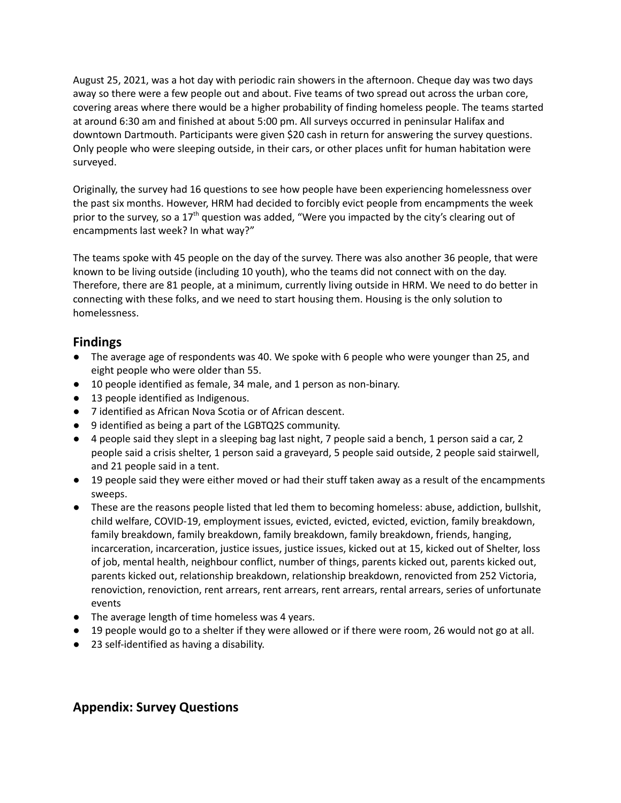August 25, 2021, was a hot day with periodic rain showers in the afternoon. Cheque day was two days away so there were a few people out and about. Five teams of two spread out across the urban core, covering areas where there would be a higher probability of finding homeless people. The teams started at around 6:30 am and finished at about 5:00 pm. All surveys occurred in peninsular Halifax and downtown Dartmouth. Participants were given \$20 cash in return for answering the survey questions. Only people who were sleeping outside, in their cars, or other places unfit for human habitation were surveyed.

Originally, the survey had 16 questions to see how people have been experiencing homelessness over the past six months. However, HRM had decided to forcibly evict people from encampments the week prior to the survey, so a 17<sup>th</sup> question was added, "Were you impacted by the city's clearing out of encampments last week? In what way?"

The teams spoke with 45 people on the day of the survey. There was also another 36 people, that were known to be living outside (including 10 youth), who the teams did not connect with on the day. Therefore, there are 81 people, at a minimum, currently living outside in HRM. We need to do better in connecting with these folks, and we need to start housing them. Housing is the only solution to homelessness.

### **Findings**

- The average age of respondents was 40. We spoke with 6 people who were younger than 25, and eight people who were older than 55.
- 10 people identified as female, 34 male, and 1 person as non-binary.
- 13 people identified as Indigenous.
- 7 identified as African Nova Scotia or of African descent.
- 9 identified as being a part of the LGBTQ2S community.
- 4 people said they slept in a sleeping bag last night, 7 people said a bench, 1 person said a car, 2 people said a crisis shelter, 1 person said a graveyard, 5 people said outside, 2 people said stairwell, and 21 people said in a tent.
- 19 people said they were either moved or had their stuff taken away as a result of the encampments sweeps.
- These are the reasons people listed that led them to becoming homeless: abuse, addiction, bullshit, child welfare, COVID-19, employment issues, evicted, evicted, evicted, eviction, family breakdown, family breakdown, family breakdown, family breakdown, family breakdown, friends, hanging, incarceration, incarceration, justice issues, justice issues, kicked out at 15, kicked out of Shelter, loss of job, mental health, neighbour conflict, number of things, parents kicked out, parents kicked out, parents kicked out, relationship breakdown, relationship breakdown, renovicted from 252 Victoria, renoviction, renoviction, rent arrears, rent arrears, rent arrears, rental arrears, series of unfortunate events
- The average length of time homeless was 4 years.
- 19 people would go to a shelter if they were allowed or if there were room, 26 would not go at all.
- 23 self-identified as having a disability.

### **Appendix: Survey Questions**